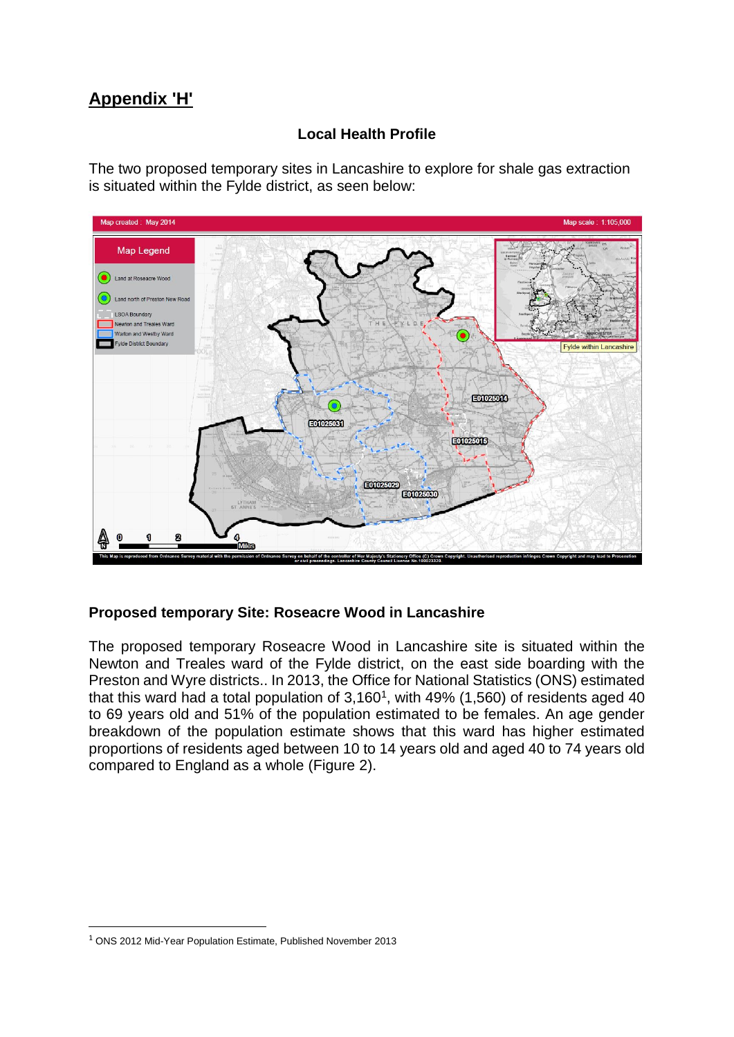# **Appendix 'H'**

# **Local Health Profile**

The two proposed temporary sites in Lancashire to explore for shale gas extraction is situated within the Fylde district, as seen below:



## **Proposed temporary Site: Roseacre Wood in Lancashire**

The proposed temporary Roseacre Wood in Lancashire site is situated within the Newton and Treales ward of the Fylde district, on the east side boarding with the Preston and Wyre districts.. In 2013, the Office for National Statistics (ONS) estimated that this ward had a total population of  $3,160^1$ , with  $49\%$  (1,560) of residents aged 40 to 69 years old and 51% of the population estimated to be females. An age gender breakdown of the population estimate shows that this ward has higher estimated proportions of residents aged between 10 to 14 years old and aged 40 to 74 years old compared to England as a whole (Figure 2).

<sup>1</sup> ONS 2012 Mid-Year Population Estimate, Published November 2013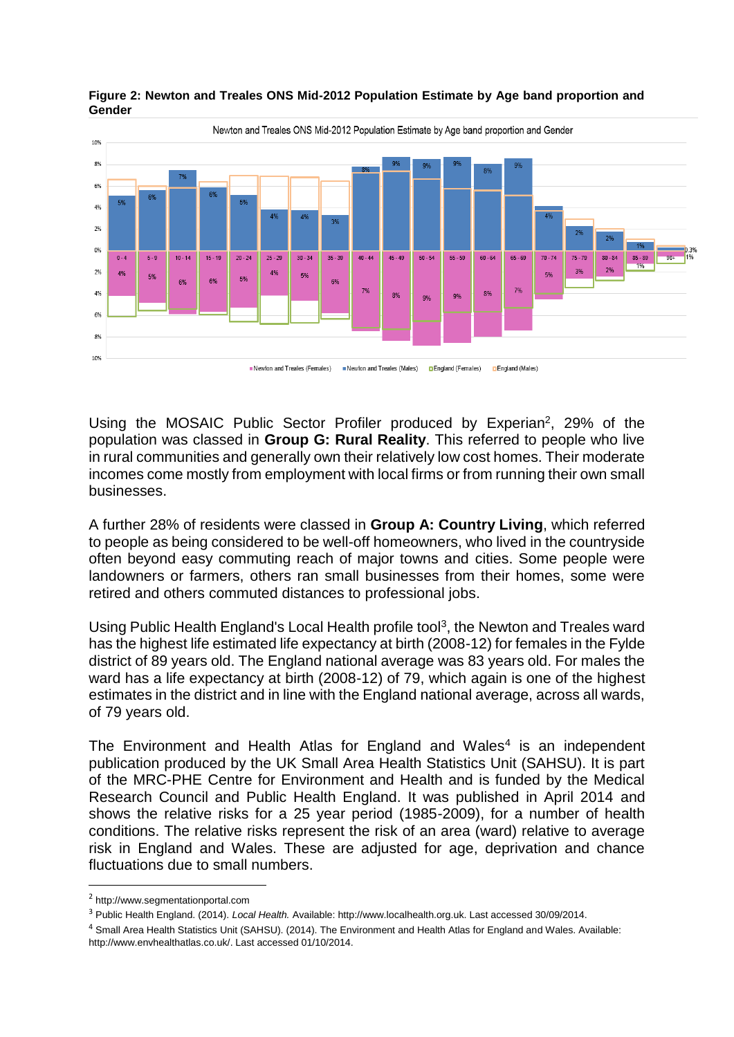

#### **Figure 2: Newton and Treales ONS Mid-2012 Population Estimate by Age band proportion and Gender**

Using the MOSAIC Public Sector Profiler produced by Experian<sup>2</sup>, 29% of the population was classed in **Group G: Rural Reality**. This referred to people who live in rural communities and generally own their relatively low cost homes. Their moderate incomes come mostly from employment with local firms or from running their own small businesses.

A further 28% of residents were classed in **Group A: Country Living**, which referred to people as being considered to be well-off homeowners, who lived in the countryside often beyond easy commuting reach of major towns and cities. Some people were landowners or farmers, others ran small businesses from their homes, some were retired and others commuted distances to professional jobs.

Using Public Health England's Local Health profile tool<sup>3</sup>, the Newton and Treales ward has the highest life estimated life expectancy at birth (2008-12) for females in the Fylde district of 89 years old. The England national average was 83 years old. For males the ward has a life expectancy at birth (2008-12) of 79, which again is one of the highest estimates in the district and in line with the England national average, across all wards, of 79 years old.

The Environment and Health Atlas for England and Wales<sup>4</sup> is an independent publication produced by the UK Small Area Health Statistics Unit (SAHSU). It is part of the MRC-PHE Centre for Environment and Health and is funded by the Medical Research Council and Public Health England. It was published in April 2014 and shows the relative risks for a 25 year period (1985-2009), for a number of health conditions. The relative risks represent the risk of an area (ward) relative to average risk in England and Wales. These are adjusted for age, deprivation and chance fluctuations due to small numbers.

<sup>2</sup> http://www.segmentationportal.com

<sup>3</sup> Public Health England. (2014). *Local Health.* Available: http://www.localhealth.org.uk. Last accessed 30/09/2014.

<sup>4</sup> Small Area Health Statistics Unit (SAHSU). (2014). The Environment and Health Atlas for England and Wales. Available: http://www.envhealthatlas.co.uk/. Last accessed 01/10/2014.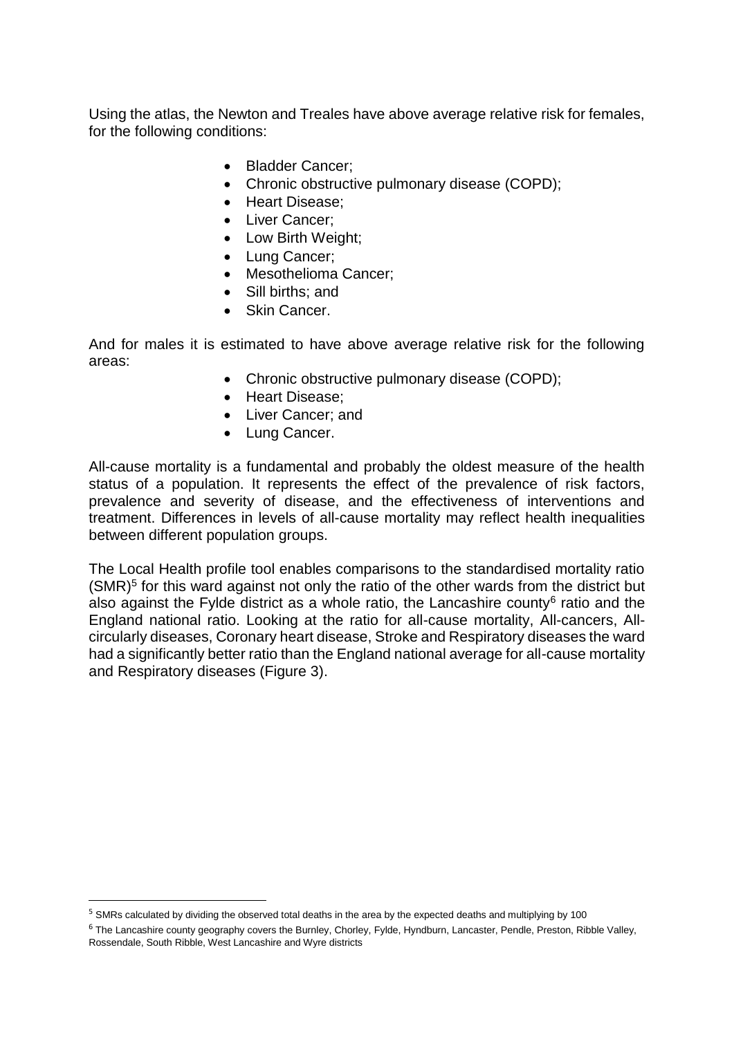Using the atlas, the Newton and Treales have above average relative risk for females, for the following conditions:

- Bladder Cancer;
- Chronic obstructive pulmonary disease (COPD);
- Heart Disease:
- Liver Cancer;
- Low Birth Weight;
- Lung Cancer;
- Mesothelioma Cancer:
- Sill births: and
- Skin Cancer.

And for males it is estimated to have above average relative risk for the following areas:

- Chronic obstructive pulmonary disease (COPD);
- Heart Disease;
- Liver Cancer: and
- Lung Cancer.

All-cause mortality is a fundamental and probably the oldest measure of the health status of a population. It represents the effect of the prevalence of risk factors, prevalence and severity of disease, and the effectiveness of interventions and treatment. Differences in levels of all-cause mortality may reflect health inequalities between different population groups.

The Local Health profile tool enables comparisons to the standardised mortality ratio (SMR)<sup>5</sup> for this ward against not only the ratio of the other wards from the district but also against the Fylde district as a whole ratio, the Lancashire county $6$  ratio and the England national ratio. Looking at the ratio for all-cause mortality, All-cancers, Allcircularly diseases, Coronary heart disease, Stroke and Respiratory diseases the ward had a significantly better ratio than the England national average for all-cause mortality and Respiratory diseases (Figure 3).

<sup>&</sup>lt;sup>5</sup> SMRs calculated by dividing the observed total deaths in the area by the expected deaths and multiplying by 100

<sup>&</sup>lt;sup>6</sup> The Lancashire county geography covers the Burnley, Chorley, Fylde, Hyndburn, Lancaster, Pendle, Preston, Ribble Valley, Rossendale, South Ribble, West Lancashire and Wyre districts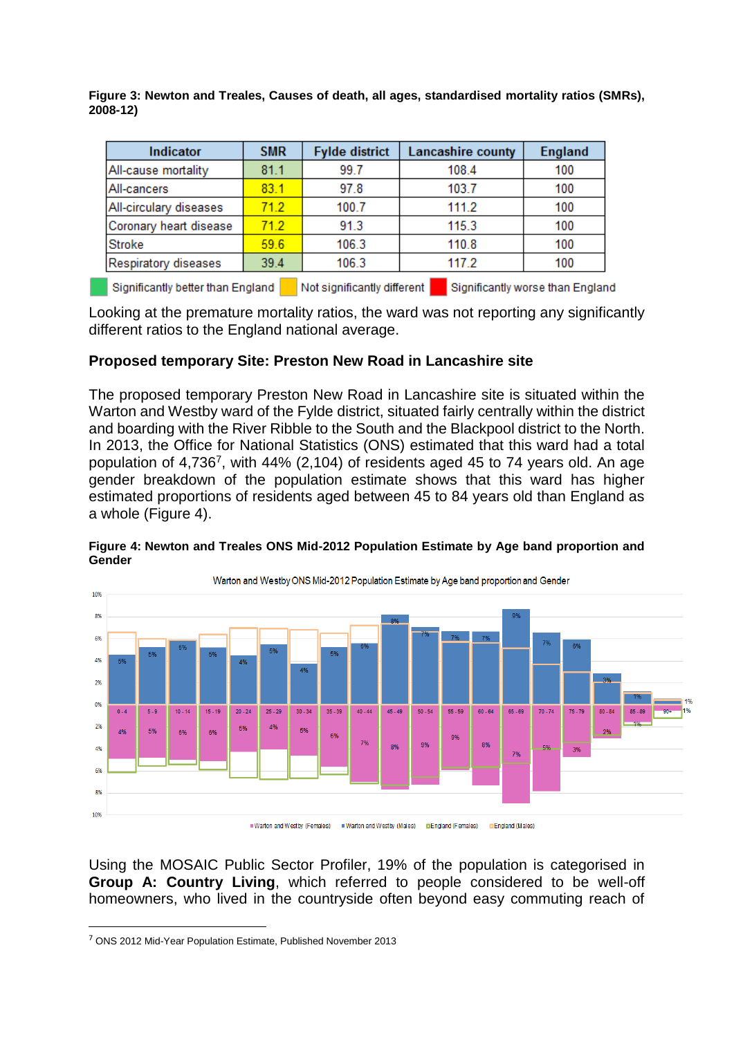**Figure 3: Newton and Treales, Causes of death, all ages, standardised mortality ratios (SMRs), 2008-12)**

| Indicator                                                                                            | <b>SMR</b> | <b>Fylde district</b> | <b>Lancashire county</b> | <b>England</b> |  |  |  |
|------------------------------------------------------------------------------------------------------|------------|-----------------------|--------------------------|----------------|--|--|--|
| All-cause mortality                                                                                  | 81.1       | 99.7                  | 108.4                    | 100            |  |  |  |
| All-cancers                                                                                          | 83.1       | 97.8                  | 103.7                    | 100            |  |  |  |
| All-circulary diseases                                                                               | 71.2       | 100.7                 | 111.2                    | 100            |  |  |  |
| Coronary heart disease                                                                               | 712        | 91.3                  | 115.3                    | 100            |  |  |  |
| <b>Stroke</b>                                                                                        | 59.6       | 106.3                 | 110.8                    | 100            |  |  |  |
| Respiratory diseases                                                                                 | 39.4       | 106.3                 | 117.2                    | 100            |  |  |  |
| Not significantly different<br>Significantly better than England<br>Significantly worse than England |            |                       |                          |                |  |  |  |

Looking at the premature mortality ratios, the ward was not reporting any significantly different ratios to the England national average.

#### **Proposed temporary Site: Preston New Road in Lancashire site**

The proposed temporary Preston New Road in Lancashire site is situated within the Warton and Westby ward of the Fylde district, situated fairly centrally within the district and boarding with the River Ribble to the South and the Blackpool district to the North. In 2013, the Office for National Statistics (ONS) estimated that this ward had a total population of  $4,736^7$ , with  $44\%$  (2,104) of residents aged 45 to 74 years old. An age gender breakdown of the population estimate shows that this ward has higher estimated proportions of residents aged between 45 to 84 years old than England as a whole (Figure 4).



#### **Figure 4: Newton and Treales ONS Mid-2012 Population Estimate by Age band proportion and Gender**

Using the MOSAIC Public Sector Profiler, 19% of the population is categorised in **Group A: Country Living**, which referred to people considered to be well-off homeowners, who lived in the countryside often beyond easy commuting reach of

<sup>7</sup> ONS 2012 Mid-Year Population Estimate, Published November 2013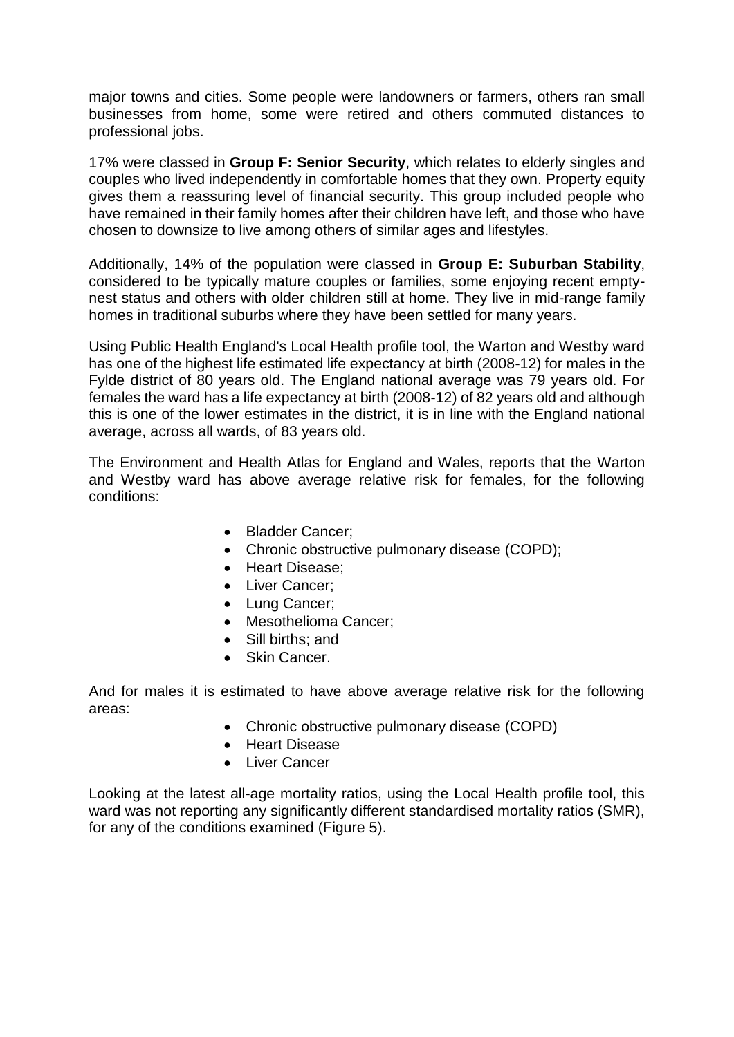major towns and cities. Some people were landowners or farmers, others ran small businesses from home, some were retired and others commuted distances to professional jobs.

17% were classed in **Group F: Senior Security**, which relates to elderly singles and couples who lived independently in comfortable homes that they own. Property equity gives them a reassuring level of financial security. This group included people who have remained in their family homes after their children have left, and those who have chosen to downsize to live among others of similar ages and lifestyles.

Additionally, 14% of the population were classed in **Group E: Suburban Stability**, considered to be typically mature couples or families, some enjoying recent emptynest status and others with older children still at home. They live in mid-range family homes in traditional suburbs where they have been settled for many years.

Using Public Health England's Local Health profile tool, the Warton and Westby ward has one of the highest life estimated life expectancy at birth (2008-12) for males in the Fylde district of 80 years old. The England national average was 79 years old. For females the ward has a life expectancy at birth (2008-12) of 82 years old and although this is one of the lower estimates in the district, it is in line with the England national average, across all wards, of 83 years old.

The Environment and Health Atlas for England and Wales, reports that the Warton and Westby ward has above average relative risk for females, for the following conditions:

- Bladder Cancer:
- Chronic obstructive pulmonary disease (COPD);
- Heart Disease:
- Liver Cancer;
- Lung Cancer;
- Mesothelioma Cancer;
- Sill births: and
- Skin Cancer.

And for males it is estimated to have above average relative risk for the following areas:

- Chronic obstructive pulmonary disease (COPD)
- Heart Disease
- Liver Cancer

Looking at the latest all-age mortality ratios, using the Local Health profile tool, this ward was not reporting any significantly different standardised mortality ratios (SMR), for any of the conditions examined (Figure 5).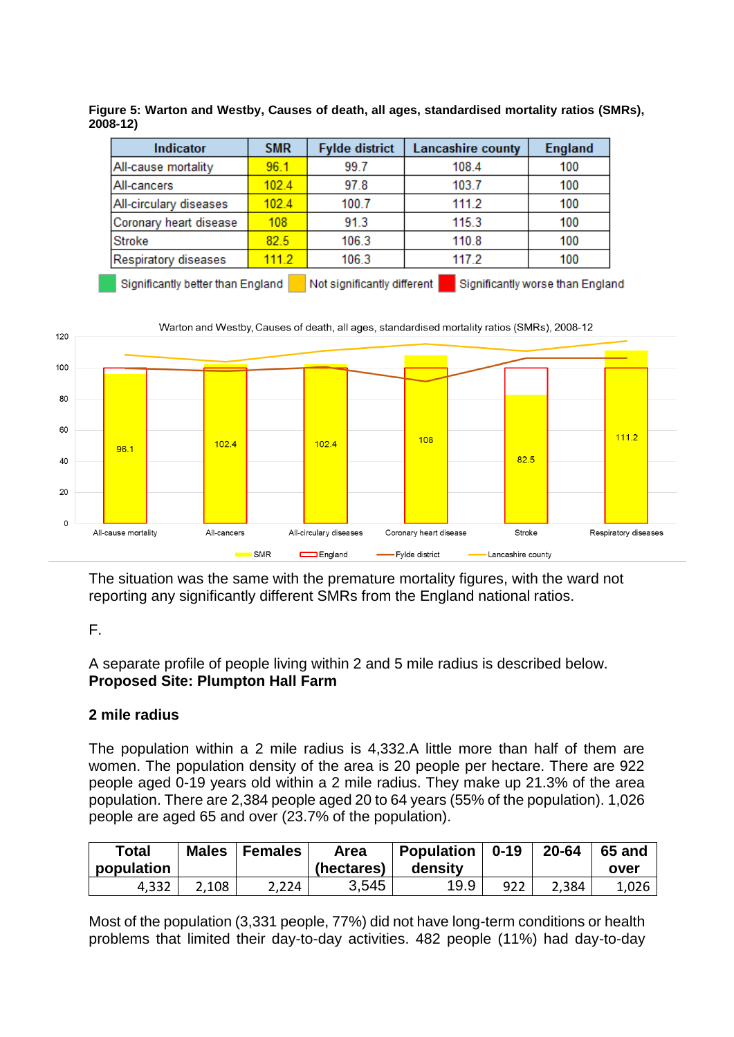| Indicator              | <b>SMR</b> | <b>Fylde district</b> | <b>Lancashire county</b> | <b>England</b> |
|------------------------|------------|-----------------------|--------------------------|----------------|
| All-cause mortality    | 96.1       | 99.7                  | 108.4                    | 100            |
| All-cancers            | 102.4      | 97.8                  | 103.7                    | 100            |
| All-circulary diseases | 1024       | 100.7                 | 111.2                    | 100            |
| Coronary heart disease | 108        | 91.3                  | 115.3                    | 100            |
| <b>Stroke</b>          | 82.5       | 106.3                 | 110.8                    | 100            |
| Respiratory diseases   | 111.2      | 106.3                 | 117.2                    | 100            |

**Figure 5: Warton and Westby, Causes of death, all ages, standardised mortality ratios (SMRs), 2008-12)**

Not significantly different Significantly better than England Significantly worse than England



The situation was the same with the premature mortality figures, with the ward not reporting any significantly different SMRs from the England national ratios.

## F.

A separate profile of people living within 2 and 5 mile radius is described below. **Proposed Site: Plumpton Hall Farm**

# **2 mile radius**

The population within a 2 mile radius is 4,332.A little more than half of them are women. The population density of the area is 20 people per hectare. There are 922 people aged 0-19 years old within a 2 mile radius. They make up 21.3% of the area population. There are 2,384 people aged 20 to 64 years (55% of the population). 1,026 people are aged 65 and over (23.7% of the population).

| <b>Total</b><br>population | <b>Males</b> | Females | Area<br>(hectares) | <b>Population</b><br>density | $0 - 19$ | 20-64 | 65 and<br>over |
|----------------------------|--------------|---------|--------------------|------------------------------|----------|-------|----------------|
| 4,332                      | 2,108        | 2,224   | 3,545              | 19.9                         | 922      | 2,384 | 1,026          |

Most of the population (3,331 people, 77%) did not have long-term conditions or health problems that limited their day-to-day activities. 482 people (11%) had day-to-day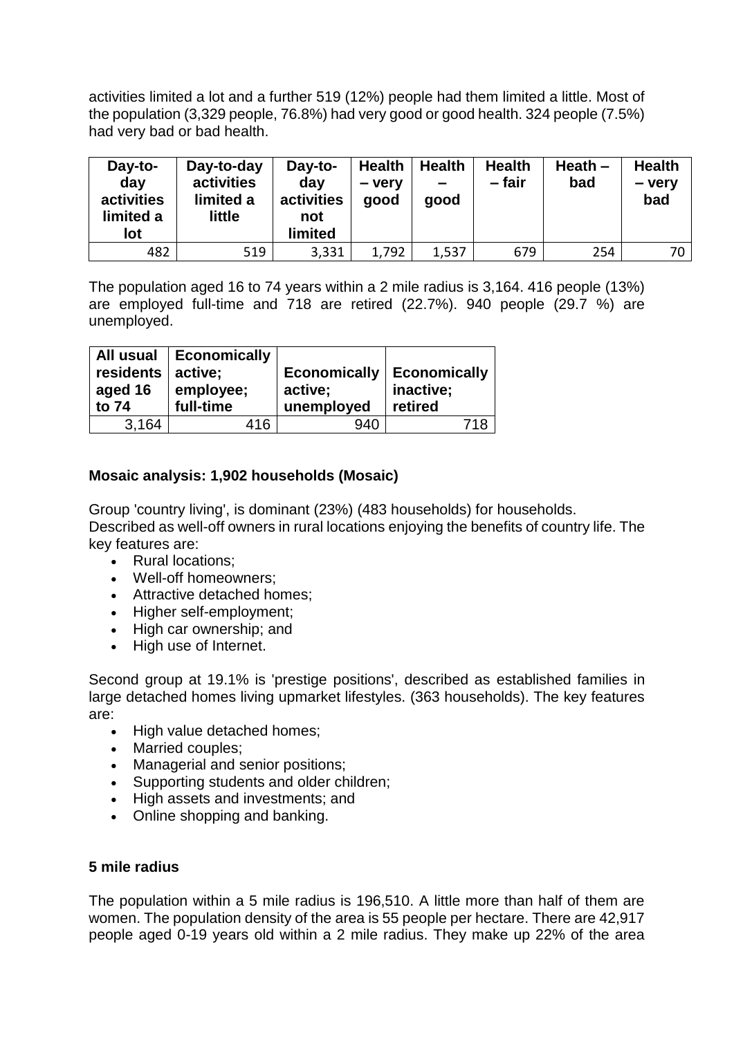activities limited a lot and a further 519 (12%) people had them limited a little. Most of the population (3,329 people, 76.8%) had very good or good health. 324 people (7.5%) had very bad or bad health.

| Day-to-<br>day<br>activities<br>limited a<br>lot | Day-to-day<br>activities<br>limited a<br>little | Day-to-<br>day<br>activities<br>not<br><b>limited</b> | <b>Health</b><br>- very<br>good | <b>Health</b><br>$\equiv$<br>good | <b>Health</b><br>-fair | Heath $-$<br>bad | <b>Health</b><br>- very<br>bad |
|--------------------------------------------------|-------------------------------------------------|-------------------------------------------------------|---------------------------------|-----------------------------------|------------------------|------------------|--------------------------------|
| 482                                              | 519                                             | 3,331                                                 | 1,792                           | 1,537                             | 679                    | 254              | 70 I                           |

The population aged 16 to 74 years within a 2 mile radius is 3,164. 416 people (13%) are employed full-time and 718 are retired (22.7%). 940 people (29.7 %) are unemployed.

| residents   active;<br>aged 16<br>to 74 | All usual   Economically<br>employee;<br>full-time | <b>Economically   Economically</b><br>active;<br>unemployed | inactive;<br>retired |
|-----------------------------------------|----------------------------------------------------|-------------------------------------------------------------|----------------------|
| 3,164                                   | 416                                                | 940                                                         |                      |

## **Mosaic analysis: 1,902 households (Mosaic)**

Group 'country living', is dominant (23%) (483 households) for households. Described as well-off owners in rural locations enjoying the benefits of country life. The key features are:

- Rural locations:
- Well-off homeowners;
- Attractive detached homes;
- Higher self-employment;
- High car ownership; and
- High use of Internet.

Second group at 19.1% is 'prestige positions', described as established families in large detached homes living upmarket lifestyles. (363 households). The key features are:

- High value detached homes;
- Married couples:
- Managerial and senior positions;
- Supporting students and older children;
- High assets and investments; and
- Online shopping and banking.

#### **5 mile radius**

The population within a 5 mile radius is 196,510. A little more than half of them are women. The population density of the area is 55 people per hectare. There are 42,917 people aged 0-19 years old within a 2 mile radius. They make up 22% of the area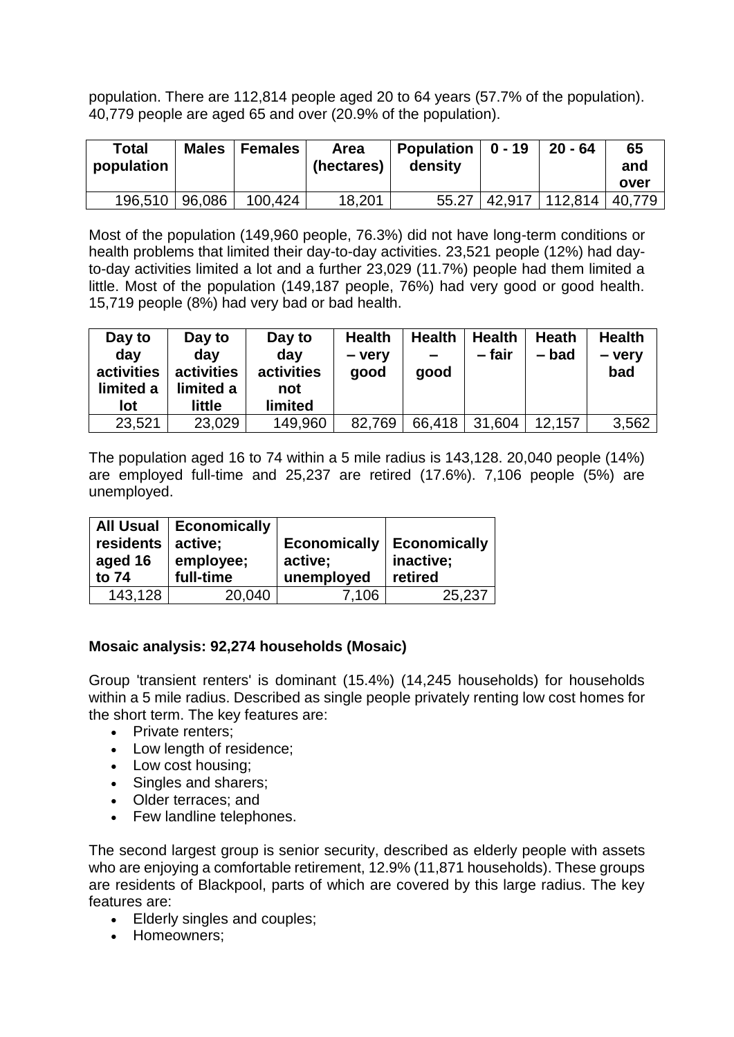population. There are 112,814 people aged 20 to 64 years (57.7% of the population). 40,779 people are aged 65 and over (20.9% of the population).

| <b>Total</b><br>population | <b>Males</b> | <b>Females</b> | Area<br>(hectares) | <b>Population</b><br>density | $0 - 19$ | $20 - 64$                 | 65<br>and |
|----------------------------|--------------|----------------|--------------------|------------------------------|----------|---------------------------|-----------|
|                            |              |                |                    |                              |          |                           | over      |
| 196,510 96,086             |              | 100,424        | 18,201             | 55.27                        |          | 42,917   112,814   40,779 |           |

Most of the population (149,960 people, 76.3%) did not have long-term conditions or health problems that limited their day-to-day activities. 23,521 people (12%) had dayto-day activities limited a lot and a further 23,029 (11.7%) people had them limited a little. Most of the population (149,187 people, 76%) had very good or good health. 15,719 people (8%) had very bad or bad health.

| Day to<br>day<br>activities<br>limited a<br>lot | Day to<br>dav<br>activities<br>limited a<br>little | Day to<br>day<br>activities<br>not<br><b>limited</b> | <b>Health</b><br>- very<br>good | <b>Health</b><br>-<br>good | <b>Health</b><br>– fair | Heath<br>– bad | <b>Health</b><br>- verv<br>bad |
|-------------------------------------------------|----------------------------------------------------|------------------------------------------------------|---------------------------------|----------------------------|-------------------------|----------------|--------------------------------|
| 23,521                                          | 23,029                                             | 149,960                                              | 82,769                          | 66,418                     | 31,604                  | 12,157         | 3,562                          |

The population aged 16 to 74 within a 5 mile radius is 143,128. 20,040 people (14%) are employed full-time and 25,237 are retired (17.6%). 7,106 people (5%) are unemployed.

|                       | All Usual   Economically |                     |                     |
|-----------------------|--------------------------|---------------------|---------------------|
| residents $ $ active; |                          | <b>Economically</b> | <b>Economically</b> |
| aged 16               | employee;                | active;             | inactive;           |
| to 74                 | full-time                | unemployed          | retired             |
| 143,128               | 20,040                   | 7,106               | 25,237              |

## **Mosaic analysis: 92,274 households (Mosaic)**

Group 'transient renters' is dominant (15.4%) (14,245 households) for households within a 5 mile radius. Described as single people privately renting low cost homes for the short term. The key features are:

- Private renters;
- Low length of residence:
- Low cost housing;
- Singles and sharers;
- Older terraces; and
- Few landline telephones.

The second largest group is senior security, described as elderly people with assets who are enjoying a comfortable retirement, 12.9% (11,871 households). These groups are residents of Blackpool, parts of which are covered by this large radius. The key features are:

- Elderly singles and couples;
- Homeowners;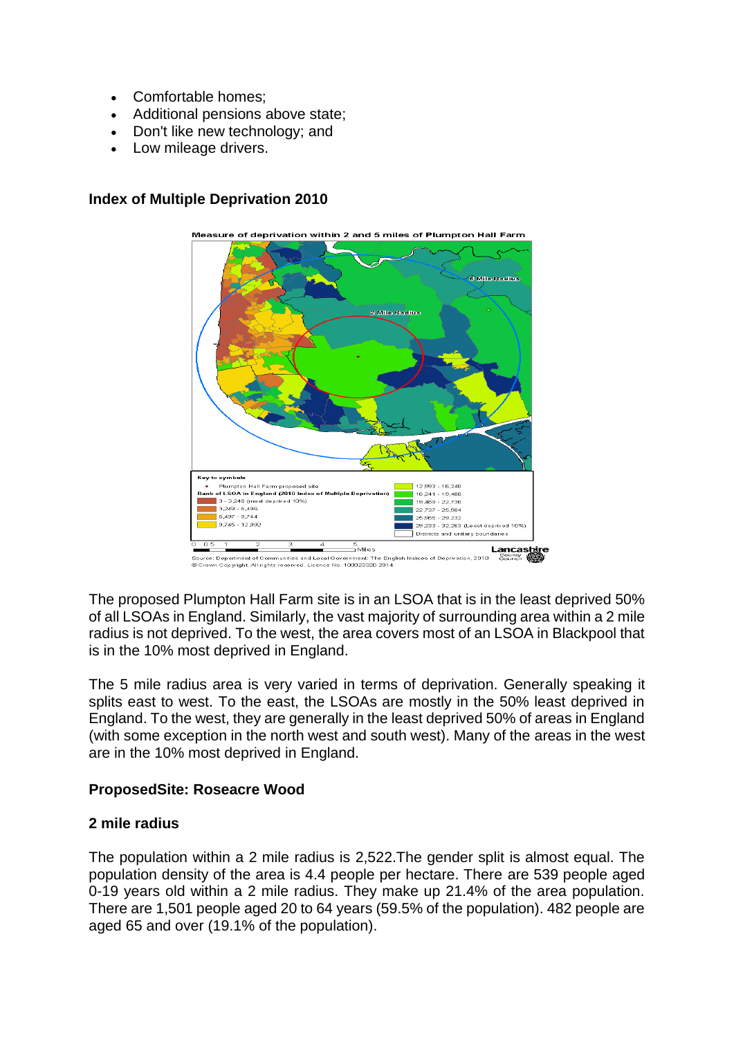- Comfortable homes:
- Additional pensions above state;
- Don't like new technology; and
- Low mileage drivers.



#### **Index of Multiple Deprivation 2010**

The proposed Plumpton Hall Farm site is in an LSOA that is in the least deprived 50% of all LSOAs in England. Similarly, the vast majority of surrounding area within a 2 mile radius is not deprived. To the west, the area covers most of an LSOA in Blackpool that is in the 10% most deprived in England.

The 5 mile radius area is very varied in terms of deprivation. Generally speaking it splits east to west. To the east, the LSOAs are mostly in the 50% least deprived in England. To the west, they are generally in the least deprived 50% of areas in England (with some exception in the north west and south west). Many of the areas in the west are in the 10% most deprived in England.

## **ProposedSite: Roseacre Wood**

## **2 mile radius**

The population within a 2 mile radius is 2,522.The gender split is almost equal. The population density of the area is 4.4 people per hectare. There are 539 people aged 0-19 years old within a 2 mile radius. They make up 21.4% of the area population. There are 1,501 people aged 20 to 64 years (59.5% of the population). 482 people are aged 65 and over (19.1% of the population).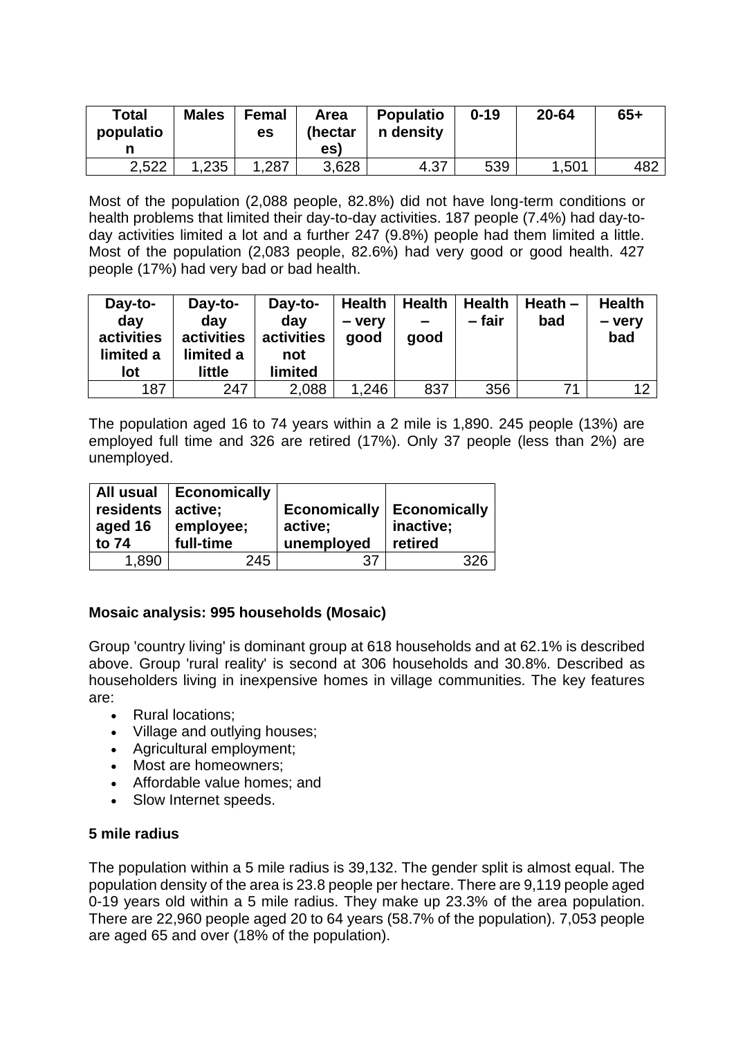| <b>Total</b><br>populatio | <b>Males</b> | <b>Femal</b><br>es | Area<br>(hectar<br>es) | <b>Populatio</b><br>n density | $0 - 19$ | 20-64 | $65+$ |
|---------------------------|--------------|--------------------|------------------------|-------------------------------|----------|-------|-------|
| 2,522                     | .235         | . 287.             | 3,628                  | 4.37                          | 539      | ,501  | 482   |

Most of the population (2,088 people, 82.8%) did not have long-term conditions or health problems that limited their day-to-day activities. 187 people (7.4%) had day-today activities limited a lot and a further 247 (9.8%) people had them limited a little. Most of the population (2,083 people, 82.6%) had very good or good health. 427 people (17%) had very bad or bad health.

| Day-to-<br>day<br>activities<br>limited a<br>lot | Day-to-<br>day<br>activities<br>limited a<br>little | Day-to-<br>day<br>activities<br>not<br>limited | <b>Health</b><br>- very<br>good | <b>Health</b><br>-<br>good | <b>Health</b><br>- fair | Heath $-$<br>bad | <b>Health</b><br>- very<br>bad |
|--------------------------------------------------|-----------------------------------------------------|------------------------------------------------|---------------------------------|----------------------------|-------------------------|------------------|--------------------------------|
| 187                                              | 247                                                 | 2,088                                          | 1,246                           | 837                        | 356                     | 71               | 12                             |

The population aged 16 to 74 years within a 2 mile is 1,890. 245 people (13%) are employed full time and 326 are retired (17%). Only 37 people (less than 2%) are unemployed.

|                     | All usual   Economically |                             |           |
|---------------------|--------------------------|-----------------------------|-----------|
| residents   active; |                          | Economically   Economically |           |
| aged 16             | employee;                | active;                     | inactive; |
| to 74               | full-time                | unemployed                  | retired   |
| 1.890               | 245                      |                             |           |

## **Mosaic analysis: 995 households (Mosaic)**

Group 'country living' is dominant group at 618 households and at 62.1% is described above. Group 'rural reality' is second at 306 households and 30.8%. Described as householders living in inexpensive homes in village communities. The key features are:

- Rural locations;
- Village and outlying houses;
- Agricultural employment;
- Most are homeowners:
- Affordable value homes; and
- Slow Internet speeds.

#### **5 mile radius**

The population within a 5 mile radius is 39,132. The gender split is almost equal. The population density of the area is 23.8 people per hectare. There are 9,119 people aged 0-19 years old within a 5 mile radius. They make up 23.3% of the area population. There are 22,960 people aged 20 to 64 years (58.7% of the population). 7,053 people are aged 65 and over (18% of the population).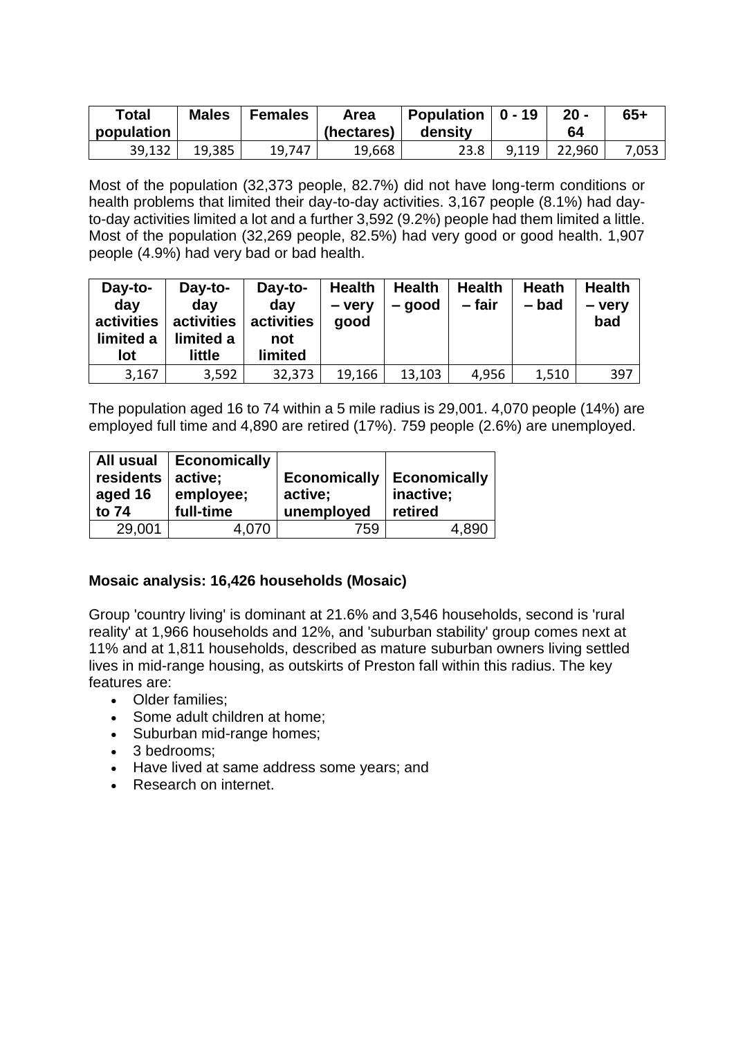| <b>Total</b><br>population | <b>Males</b> | <b>Females</b> | Area<br>(hectares) | Population<br>density | $0 - 19$ | $20 -$<br>64 | $65+$ |
|----------------------------|--------------|----------------|--------------------|-----------------------|----------|--------------|-------|
| 39,132                     | 19,385       | 19,747         | 19,668             | 23.8                  | 9,119    | 22,960       | 7,053 |

Most of the population (32,373 people, 82.7%) did not have long-term conditions or health problems that limited their day-to-day activities. 3,167 people (8.1%) had dayto-day activities limited a lot and a further 3,592 (9.2%) people had them limited a little. Most of the population (32,269 people, 82.5%) had very good or good health. 1,907 people (4.9%) had very bad or bad health.

| Day-to-<br>day<br>activities<br>limited a<br>lot | Day-to-<br>day<br>activities<br>limited a<br>little | Day-to-<br>day<br>activities<br>not<br>limited | <b>Health</b><br>- very<br>good | Health<br>– good | <b>Health</b><br>– fair | Heath<br>- bad | <b>Health</b><br>- very<br>bad |
|--------------------------------------------------|-----------------------------------------------------|------------------------------------------------|---------------------------------|------------------|-------------------------|----------------|--------------------------------|
| 3,167                                            | 3,592                                               | 32,373                                         | 19,166                          | 13,103           | 4,956                   | 1,510          | 397                            |

The population aged 16 to 74 within a 5 mile radius is 29,001. 4,070 people (14%) are employed full time and 4,890 are retired (17%). 759 people (2.6%) are unemployed.

| All usual<br>residents   active;<br>aged 16<br>to 74 | Economically<br>employee;<br>full-time | <b>Economically</b><br>active;<br>unemployed | Economically<br>inactive;<br>retired |
|------------------------------------------------------|----------------------------------------|----------------------------------------------|--------------------------------------|
| 29,001                                               | 4,070                                  | 759                                          | 4,890                                |

## **Mosaic analysis: 16,426 households (Mosaic)**

Group 'country living' is dominant at 21.6% and 3,546 households, second is 'rural reality' at 1,966 households and 12%, and 'suburban stability' group comes next at 11% and at 1,811 households, described as mature suburban owners living settled lives in mid-range housing, as outskirts of Preston fall within this radius. The key features are:

- Older families:
- Some adult children at home;
- Suburban mid-range homes;
- 3 bedrooms:
- Have lived at same address some years; and
- Research on internet.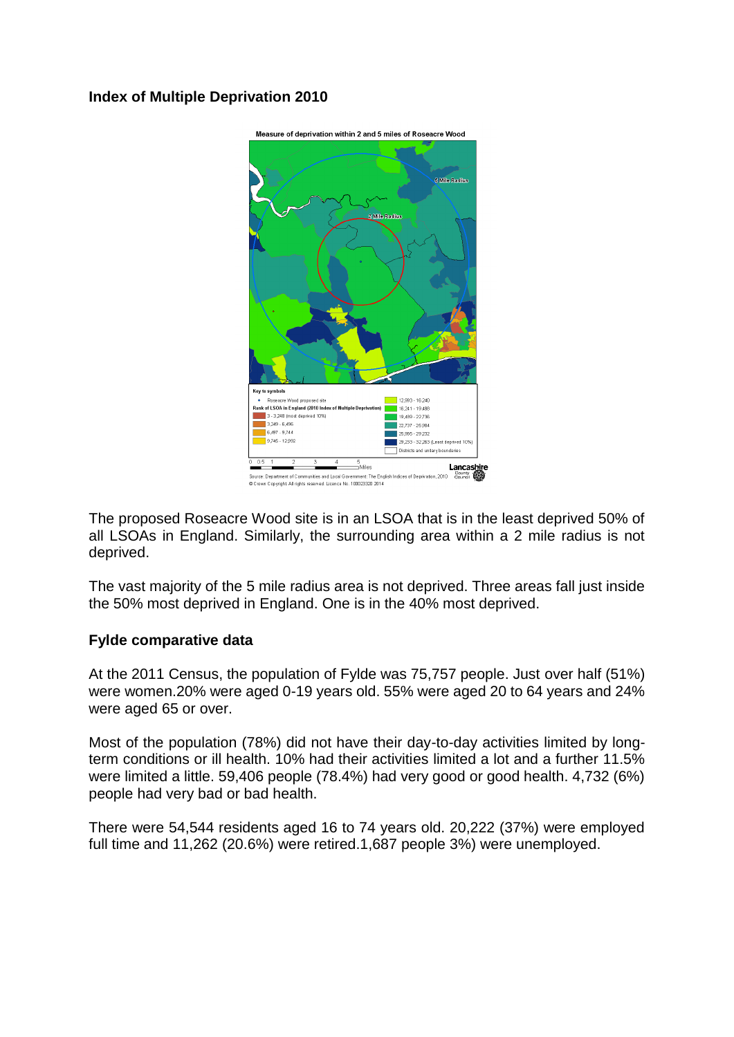# **Index of Multiple Deprivation 2010**



The proposed Roseacre Wood site is in an LSOA that is in the least deprived 50% of all LSOAs in England. Similarly, the surrounding area within a 2 mile radius is not deprived.

The vast majority of the 5 mile radius area is not deprived. Three areas fall just inside the 50% most deprived in England. One is in the 40% most deprived.

#### **Fylde comparative data**

At the 2011 Census, the population of Fylde was 75,757 people. Just over half (51%) were women.20% were aged 0-19 years old. 55% were aged 20 to 64 years and 24% were aged 65 or over.

Most of the population (78%) did not have their day-to-day activities limited by longterm conditions or ill health. 10% had their activities limited a lot and a further 11.5% were limited a little. 59,406 people (78.4%) had very good or good health. 4,732 (6%) people had very bad or bad health.

There were 54,544 residents aged 16 to 74 years old. 20,222 (37%) were employed full time and 11,262 (20.6%) were retired.1,687 people 3%) were unemployed.